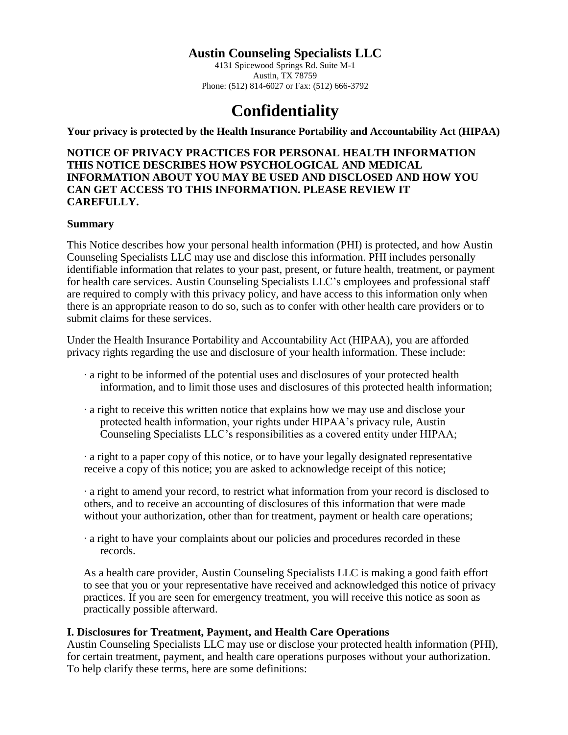# **Austin Counseling Specialists LLC**

4131 Spicewood Springs Rd. Suite M-1 Austin, TX 78759 Phone: (512) 814-6027 or Fax: (512) 666-3792

# **Confidentiality**

**Your privacy is protected by the Health Insurance Portability and Accountability Act (HIPAA)**

**NOTICE OF PRIVACY PRACTICES FOR PERSONAL HEALTH INFORMATION THIS NOTICE DESCRIBES HOW PSYCHOLOGICAL AND MEDICAL INFORMATION ABOUT YOU MAY BE USED AND DISCLOSED AND HOW YOU CAN GET ACCESS TO THIS INFORMATION. PLEASE REVIEW IT CAREFULLY.** 

#### **Summary**

This Notice describes how your personal health information (PHI) is protected, and how Austin Counseling Specialists LLC may use and disclose this information. PHI includes personally identifiable information that relates to your past, present, or future health, treatment, or payment for health care services. Austin Counseling Specialists LLC's employees and professional staff are required to comply with this privacy policy, and have access to this information only when there is an appropriate reason to do so, such as to confer with other health care providers or to submit claims for these services.

Under the Health Insurance Portability and Accountability Act (HIPAA), you are afforded privacy rights regarding the use and disclosure of your health information. These include:

- ∙ a right to be informed of the potential uses and disclosures of your protected health information, and to limit those uses and disclosures of this protected health information;
- ∙ a right to receive this written notice that explains how we may use and disclose your protected health information, your rights under HIPAA's privacy rule, Austin Counseling Specialists LLC's responsibilities as a covered entity under HIPAA;

∙ a right to a paper copy of this notice, or to have your legally designated representative receive a copy of this notice; you are asked to acknowledge receipt of this notice;

∙ a right to amend your record, to restrict what information from your record is disclosed to others, and to receive an accounting of disclosures of this information that were made without your authorization, other than for treatment, payment or health care operations;

∙ a right to have your complaints about our policies and procedures recorded in these records.

As a health care provider, Austin Counseling Specialists LLC is making a good faith effort to see that you or your representative have received and acknowledged this notice of privacy practices. If you are seen for emergency treatment, you will receive this notice as soon as practically possible afterward.

#### **I. Disclosures for Treatment, Payment, and Health Care Operations**

Austin Counseling Specialists LLC may use or disclose your protected health information (PHI), for certain treatment, payment, and health care operations purposes without your authorization. To help clarify these terms, here are some definitions: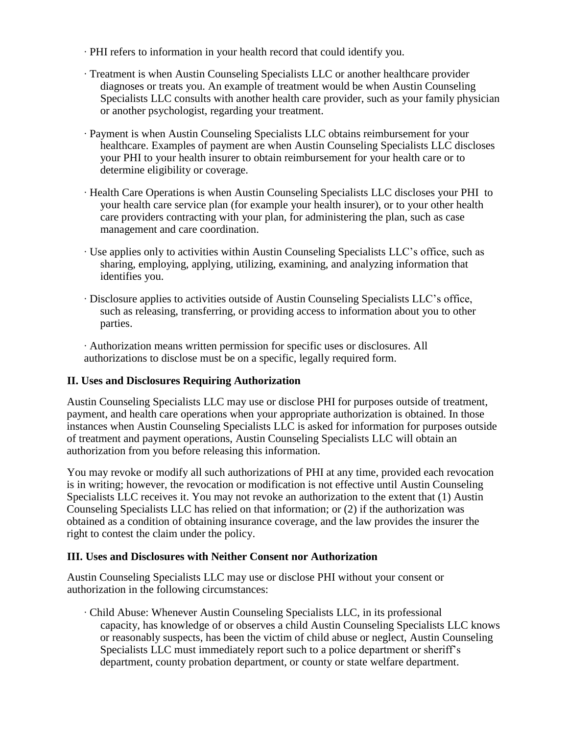- ∙ PHI refers to information in your health record that could identify you.
- ∙ Treatment is when Austin Counseling Specialists LLC or another healthcare provider diagnoses or treats you. An example of treatment would be when Austin Counseling Specialists LLC consults with another health care provider, such as your family physician or another psychologist, regarding your treatment.
- ∙ Payment is when Austin Counseling Specialists LLC obtains reimbursement for your healthcare. Examples of payment are when Austin Counseling Specialists LLC discloses your PHI to your health insurer to obtain reimbursement for your health care or to determine eligibility or coverage.
- ∙ Health Care Operations is when Austin Counseling Specialists LLC discloses your PHI to your health care service plan (for example your health insurer), or to your other health care providers contracting with your plan, for administering the plan, such as case management and care coordination.
- ∙ Use applies only to activities within Austin Counseling Specialists LLC's office, such as sharing, employing, applying, utilizing, examining, and analyzing information that identifies you.
- ∙ Disclosure applies to activities outside of Austin Counseling Specialists LLC's office, such as releasing, transferring, or providing access to information about you to other parties.

∙ Authorization means written permission for specific uses or disclosures. All authorizations to disclose must be on a specific, legally required form.

## **II. Uses and Disclosures Requiring Authorization**

Austin Counseling Specialists LLC may use or disclose PHI for purposes outside of treatment, payment, and health care operations when your appropriate authorization is obtained. In those instances when Austin Counseling Specialists LLC is asked for information for purposes outside of treatment and payment operations, Austin Counseling Specialists LLC will obtain an authorization from you before releasing this information.

You may revoke or modify all such authorizations of PHI at any time, provided each revocation is in writing; however, the revocation or modification is not effective until Austin Counseling Specialists LLC receives it. You may not revoke an authorization to the extent that (1) Austin Counseling Specialists LLC has relied on that information; or (2) if the authorization was obtained as a condition of obtaining insurance coverage, and the law provides the insurer the right to contest the claim under the policy.

## **III. Uses and Disclosures with Neither Consent nor Authorization**

Austin Counseling Specialists LLC may use or disclose PHI without your consent or authorization in the following circumstances:

∙ Child Abuse: Whenever Austin Counseling Specialists LLC, in its professional capacity, has knowledge of or observes a child Austin Counseling Specialists LLC knows or reasonably suspects, has been the victim of child abuse or neglect, Austin Counseling Specialists LLC must immediately report such to a police department or sheriff's department, county probation department, or county or state welfare department.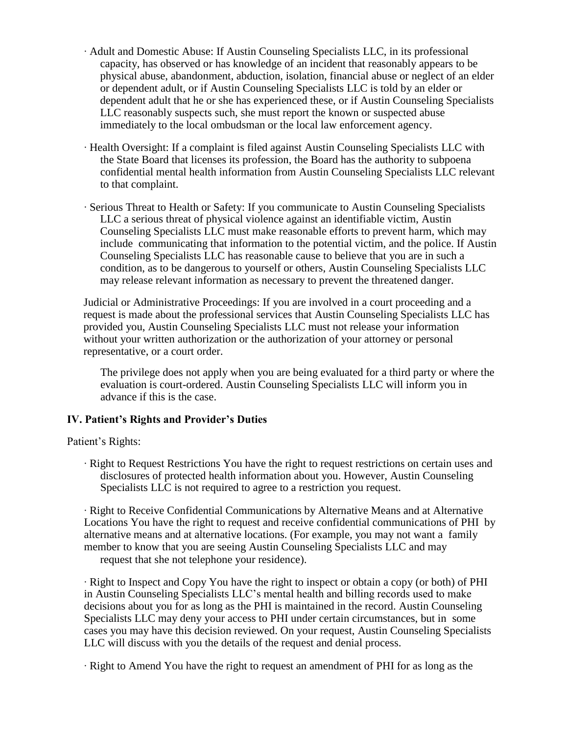- ∙ Adult and Domestic Abuse: If Austin Counseling Specialists LLC, in its professional capacity, has observed or has knowledge of an incident that reasonably appears to be physical abuse, abandonment, abduction, isolation, financial abuse or neglect of an elder or dependent adult, or if Austin Counseling Specialists LLC is told by an elder or dependent adult that he or she has experienced these, or if Austin Counseling Specialists LLC reasonably suspects such, she must report the known or suspected abuse immediately to the local ombudsman or the local law enforcement agency.
- ∙ Health Oversight: If a complaint is filed against Austin Counseling Specialists LLC with the State Board that licenses its profession, the Board has the authority to subpoena confidential mental health information from Austin Counseling Specialists LLC relevant to that complaint.
- ∙ Serious Threat to Health or Safety: If you communicate to Austin Counseling Specialists LLC a serious threat of physical violence against an identifiable victim, Austin Counseling Specialists LLC must make reasonable efforts to prevent harm, which may include communicating that information to the potential victim, and the police. If Austin Counseling Specialists LLC has reasonable cause to believe that you are in such a condition, as to be dangerous to yourself or others, Austin Counseling Specialists LLC may release relevant information as necessary to prevent the threatened danger.

Judicial or Administrative Proceedings: If you are involved in a court proceeding and a request is made about the professional services that Austin Counseling Specialists LLC has provided you, Austin Counseling Specialists LLC must not release your information without your written authorization or the authorization of your attorney or personal representative, or a court order.

The privilege does not apply when you are being evaluated for a third party or where the evaluation is court-ordered. Austin Counseling Specialists LLC will inform you in advance if this is the case.

#### **IV. Patient's Rights and Provider's Duties**

Patient's Rights:

∙ Right to Request Restrictions You have the right to request restrictions on certain uses and disclosures of protected health information about you. However, Austin Counseling Specialists LLC is not required to agree to a restriction you request.

∙ Right to Receive Confidential Communications by Alternative Means and at Alternative Locations You have the right to request and receive confidential communications of PHI by alternative means and at alternative locations. (For example, you may not want a family member to know that you are seeing Austin Counseling Specialists LLC and may request that she not telephone your residence).

∙ Right to Inspect and Copy You have the right to inspect or obtain a copy (or both) of PHI in Austin Counseling Specialists LLC's mental health and billing records used to make decisions about you for as long as the PHI is maintained in the record. Austin Counseling Specialists LLC may deny your access to PHI under certain circumstances, but in some cases you may have this decision reviewed. On your request, Austin Counseling Specialists LLC will discuss with you the details of the request and denial process.

∙ Right to Amend You have the right to request an amendment of PHI for as long as the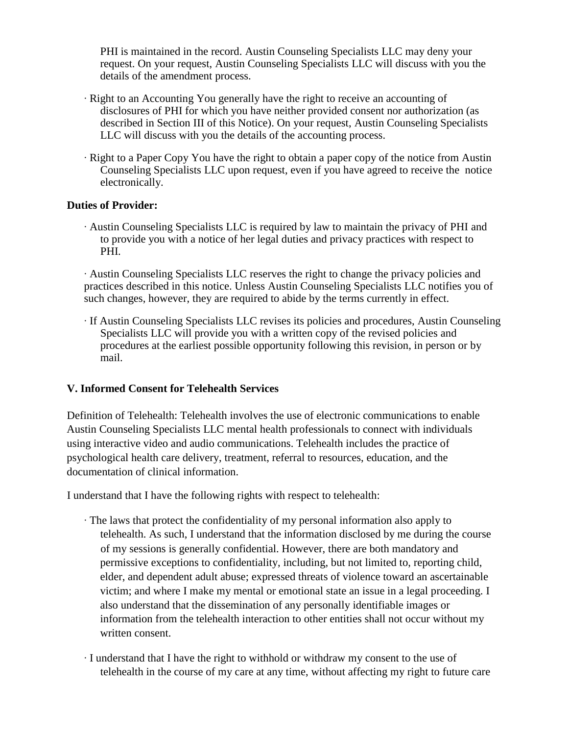PHI is maintained in the record. Austin Counseling Specialists LLC may deny your request. On your request, Austin Counseling Specialists LLC will discuss with you the details of the amendment process.

- ∙ Right to an Accounting You generally have the right to receive an accounting of disclosures of PHI for which you have neither provided consent nor authorization (as described in Section III of this Notice). On your request, Austin Counseling Specialists LLC will discuss with you the details of the accounting process.
- ∙ Right to a Paper Copy You have the right to obtain a paper copy of the notice from Austin Counseling Specialists LLC upon request, even if you have agreed to receive the notice electronically.

#### **Duties of Provider:**

∙ Austin Counseling Specialists LLC is required by law to maintain the privacy of PHI and to provide you with a notice of her legal duties and privacy practices with respect to PHI.

∙ Austin Counseling Specialists LLC reserves the right to change the privacy policies and practices described in this notice. Unless Austin Counseling Specialists LLC notifies you of such changes, however, they are required to abide by the terms currently in effect.

∙ If Austin Counseling Specialists LLC revises its policies and procedures, Austin Counseling Specialists LLC will provide you with a written copy of the revised policies and procedures at the earliest possible opportunity following this revision, in person or by mail.

## **V. Informed Consent for Telehealth Services**

Definition of Telehealth: Telehealth involves the use of electronic communications to enable Austin Counseling Specialists LLC mental health professionals to connect with individuals using interactive video and audio communications. Telehealth includes the practice of psychological health care delivery, treatment, referral to resources, education, and the documentation of clinical information.

I understand that I have the following rights with respect to telehealth:

- ∙ The laws that protect the confidentiality of my personal information also apply to telehealth. As such, I understand that the information disclosed by me during the course of my sessions is generally confidential. However, there are both mandatory and permissive exceptions to confidentiality, including, but not limited to, reporting child, elder, and dependent adult abuse; expressed threats of violence toward an ascertainable victim; and where I make my mental or emotional state an issue in a legal proceeding. I also understand that the dissemination of any personally identifiable images or information from the telehealth interaction to other entities shall not occur without my written consent.
- ∙ I understand that I have the right to withhold or withdraw my consent to the use of telehealth in the course of my care at any time, without affecting my right to future care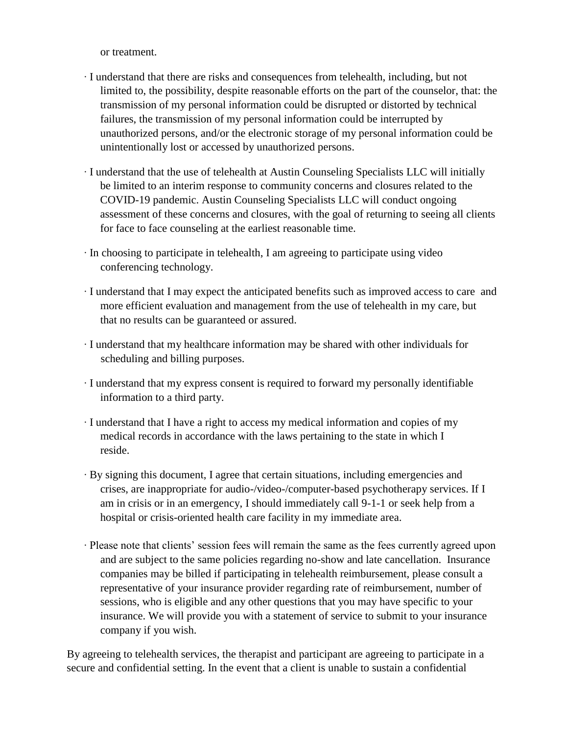or treatment.

- ∙ I understand that there are risks and consequences from telehealth, including, but not limited to, the possibility, despite reasonable efforts on the part of the counselor, that: the transmission of my personal information could be disrupted or distorted by technical failures, the transmission of my personal information could be interrupted by unauthorized persons, and/or the electronic storage of my personal information could be unintentionally lost or accessed by unauthorized persons.
- ∙ I understand that the use of telehealth at Austin Counseling Specialists LLC will initially be limited to an interim response to community concerns and closures related to the COVID-19 pandemic. Austin Counseling Specialists LLC will conduct ongoing assessment of these concerns and closures, with the goal of returning to seeing all clients for face to face counseling at the earliest reasonable time.
- ∙ In choosing to participate in telehealth, I am agreeing to participate using video conferencing technology.
- ∙ I understand that I may expect the anticipated benefits such as improved access to care and more efficient evaluation and management from the use of telehealth in my care, but that no results can be guaranteed or assured.
- ∙ I understand that my healthcare information may be shared with other individuals for scheduling and billing purposes.
- ∙ I understand that my express consent is required to forward my personally identifiable information to a third party.
- ∙ I understand that I have a right to access my medical information and copies of my medical records in accordance with the laws pertaining to the state in which I reside.
- ∙ By signing this document, I agree that certain situations, including emergencies and crises, are inappropriate for audio-/video-/computer-based psychotherapy services. If I am in crisis or in an emergency, I should immediately call 9-1-1 or seek help from a hospital or crisis-oriented health care facility in my immediate area.
- ∙ Please note that clients' session fees will remain the same as the fees currently agreed upon and are subject to the same policies regarding no-show and late cancellation. Insurance companies may be billed if participating in telehealth reimbursement, please consult a representative of your insurance provider regarding rate of reimbursement, number of sessions, who is eligible and any other questions that you may have specific to your insurance. We will provide you with a statement of service to submit to your insurance company if you wish.

By agreeing to telehealth services, the therapist and participant are agreeing to participate in a secure and confidential setting. In the event that a client is unable to sustain a confidential